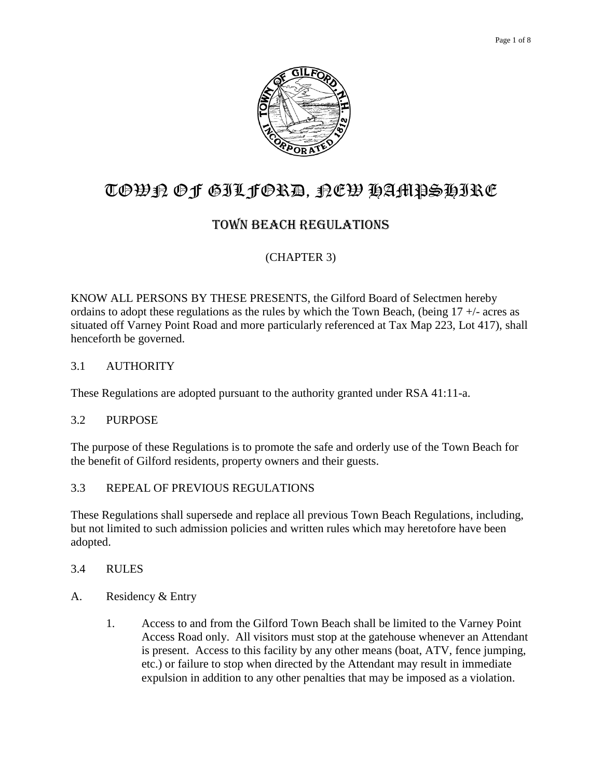

# TOWN OF GILFORD, NEW HAMPSHIRE

## TOWN BEACH REGULATIONS

## (CHAPTER 3)

KNOW ALL PERSONS BY THESE PRESENTS, the Gilford Board of Selectmen hereby ordains to adopt these regulations as the rules by which the Town Beach, (being  $17 +$ - acres as situated off Varney Point Road and more particularly referenced at Tax Map 223, Lot 417), shall henceforth be governed.

#### 3.1 AUTHORITY

These Regulations are adopted pursuant to the authority granted under RSA 41:11-a.

#### 3.2 PURPOSE

The purpose of these Regulations is to promote the safe and orderly use of the Town Beach for the benefit of Gilford residents, property owners and their guests.

#### 3.3 REPEAL OF PREVIOUS REGULATIONS

These Regulations shall supersede and replace all previous Town Beach Regulations, including, but not limited to such admission policies and written rules which may heretofore have been adopted.

#### 3.4 RULES

- A. Residency & Entry
	- 1. Access to and from the Gilford Town Beach shall be limited to the Varney Point Access Road only. All visitors must stop at the gatehouse whenever an Attendant is present. Access to this facility by any other means (boat, ATV, fence jumping, etc.) or failure to stop when directed by the Attendant may result in immediate expulsion in addition to any other penalties that may be imposed as a violation.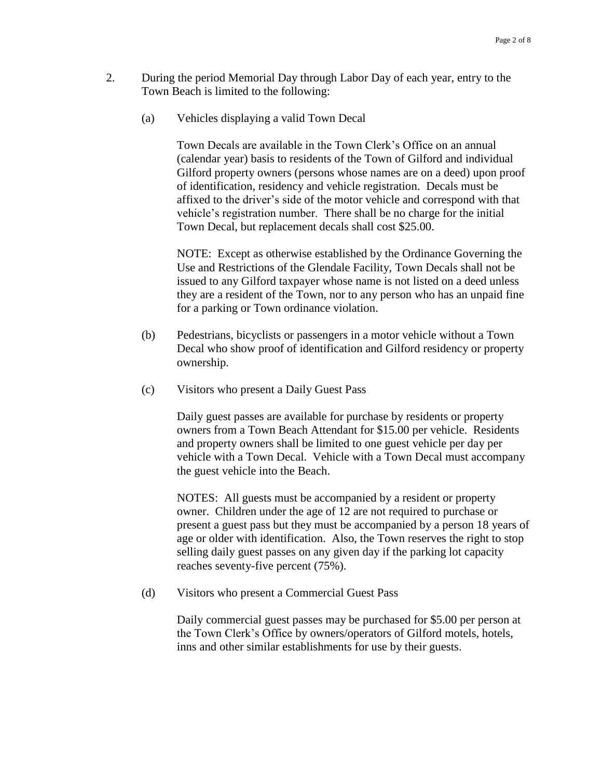- 2. During the period Memorial Day through Labor Day of each year, entry to the Town Beach is limited to the following:
	- (a) Vehicles displaying a valid Town Decal

Town Decals are available in the Town Clerk's Office on an annual (calendar year) basis to residents of the Town of Gilford and individual Gilford property owners (persons whose names are on a deed) upon proof of identification, residency and vehicle registration. Decals must be affixed to the driver's side of the motor vehicle and correspond with that vehicle's registration number. There shall be no charge for the initial Town Decal, but replacement decals shall cost \$25.00.

NOTE: Except as otherwise established by the Ordinance Governing the Use and Restrictions of the Glendale Facility, Town Decals shall not be issued to any Gilford taxpayer whose name is not listed on a deed unless they are a resident of the Town, nor to any person who has an unpaid fine for a parking or Town ordinance violation.

- (b) Pedestrians, bicyclists or passengers in a motor vehicle without a Town Decal who show proof of identification and Gilford residency or property ownership.
- (c) Visitors who present a Daily Guest Pass

Daily guest passes are available for purchase by residents or property owners from a Town Beach Attendant for \$15.00 per vehicle. Residents and property owners shall be limited to one guest vehicle per day per vehicle with a Town Decal. Vehicle with a Town Decal must accompany the guest vehicle into the Beach.

NOTES: All guests must be accompanied by a resident or property owner. Children under the age of 12 are not required to purchase or present a guest pass but they must be accompanied by a person 18 years of age or older with identification. Also, the Town reserves the right to stop selling daily guest passes on any given day if the parking lot capacity reaches seventy-five percent (75%).

(d) Visitors who present a Commercial Guest Pass

Daily commercial guest passes may be purchased for \$5.00 per person at the Town Clerk's Office by owners/operators of Gilford motels, hotels, inns and other similar establishments for use by their guests.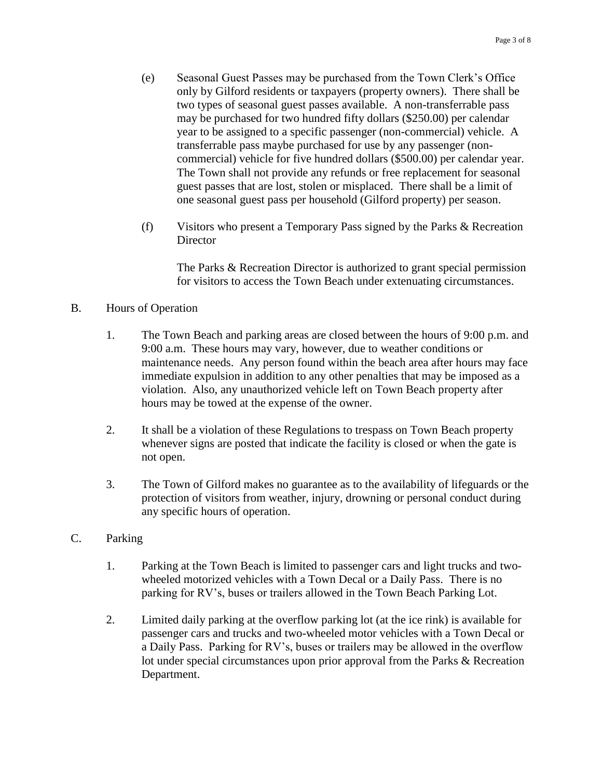- (e) Seasonal Guest Passes may be purchased from the Town Clerk's Office only by Gilford residents or taxpayers (property owners). There shall be two types of seasonal guest passes available. A non-transferrable pass may be purchased for two hundred fifty dollars (\$250.00) per calendar year to be assigned to a specific passenger (non-commercial) vehicle. A transferrable pass maybe purchased for use by any passenger (noncommercial) vehicle for five hundred dollars (\$500.00) per calendar year. The Town shall not provide any refunds or free replacement for seasonal guest passes that are lost, stolen or misplaced. There shall be a limit of one seasonal guest pass per household (Gilford property) per season.
- (f) Visitors who present a Temporary Pass signed by the Parks & Recreation **Director**

The Parks & Recreation Director is authorized to grant special permission for visitors to access the Town Beach under extenuating circumstances.

## B. Hours of Operation

- 1. The Town Beach and parking areas are closed between the hours of 9:00 p.m. and 9:00 a.m. These hours may vary, however, due to weather conditions or maintenance needs. Any person found within the beach area after hours may face immediate expulsion in addition to any other penalties that may be imposed as a violation. Also, any unauthorized vehicle left on Town Beach property after hours may be towed at the expense of the owner.
- 2. It shall be a violation of these Regulations to trespass on Town Beach property whenever signs are posted that indicate the facility is closed or when the gate is not open.
- 3. The Town of Gilford makes no guarantee as to the availability of lifeguards or the protection of visitors from weather, injury, drowning or personal conduct during any specific hours of operation.

#### C. Parking

- 1. Parking at the Town Beach is limited to passenger cars and light trucks and twowheeled motorized vehicles with a Town Decal or a Daily Pass. There is no parking for RV's, buses or trailers allowed in the Town Beach Parking Lot.
- 2. Limited daily parking at the overflow parking lot (at the ice rink) is available for passenger cars and trucks and two-wheeled motor vehicles with a Town Decal or a Daily Pass. Parking for RV's, buses or trailers may be allowed in the overflow lot under special circumstances upon prior approval from the Parks & Recreation Department.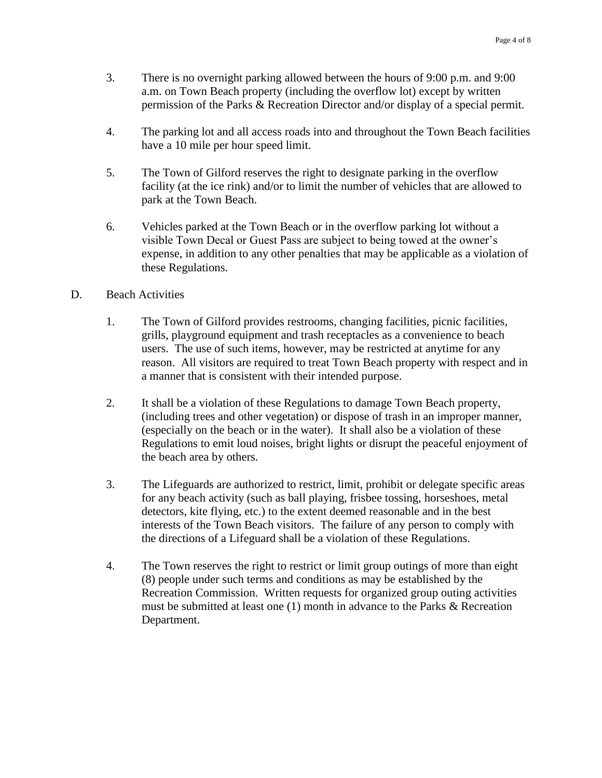- 3. There is no overnight parking allowed between the hours of 9:00 p.m. and 9:00 a.m. on Town Beach property (including the overflow lot) except by written permission of the Parks & Recreation Director and/or display of a special permit.
- 4. The parking lot and all access roads into and throughout the Town Beach facilities have a 10 mile per hour speed limit.
- 5. The Town of Gilford reserves the right to designate parking in the overflow facility (at the ice rink) and/or to limit the number of vehicles that are allowed to park at the Town Beach.
- 6. Vehicles parked at the Town Beach or in the overflow parking lot without a visible Town Decal or Guest Pass are subject to being towed at the owner's expense, in addition to any other penalties that may be applicable as a violation of these Regulations.

#### D. Beach Activities

- 1. The Town of Gilford provides restrooms, changing facilities, picnic facilities, grills, playground equipment and trash receptacles as a convenience to beach users. The use of such items, however, may be restricted at anytime for any reason. All visitors are required to treat Town Beach property with respect and in a manner that is consistent with their intended purpose.
- 2. It shall be a violation of these Regulations to damage Town Beach property, (including trees and other vegetation) or dispose of trash in an improper manner, (especially on the beach or in the water). It shall also be a violation of these Regulations to emit loud noises, bright lights or disrupt the peaceful enjoyment of the beach area by others.
- 3. The Lifeguards are authorized to restrict, limit, prohibit or delegate specific areas for any beach activity (such as ball playing, frisbee tossing, horseshoes, metal detectors, kite flying, etc.) to the extent deemed reasonable and in the best interests of the Town Beach visitors. The failure of any person to comply with the directions of a Lifeguard shall be a violation of these Regulations.
- 4. The Town reserves the right to restrict or limit group outings of more than eight (8) people under such terms and conditions as may be established by the Recreation Commission. Written requests for organized group outing activities must be submitted at least one (1) month in advance to the Parks & Recreation Department.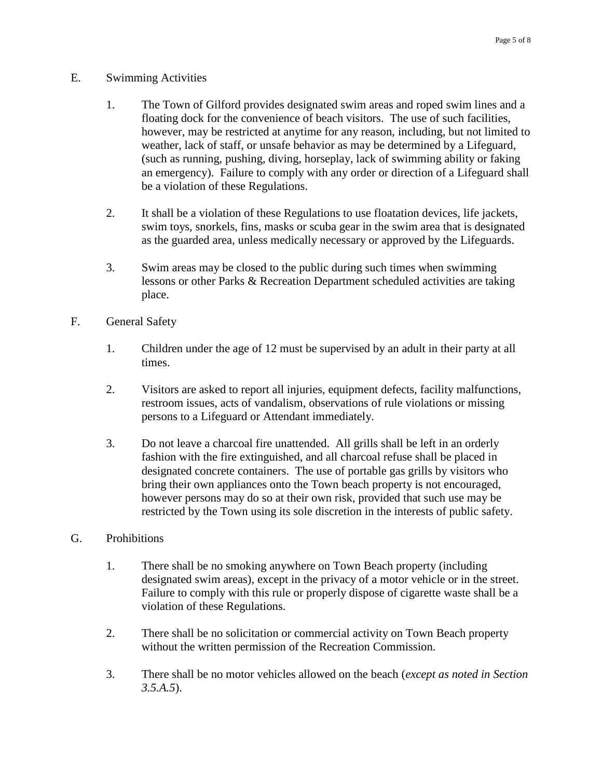- E. Swimming Activities
	- 1. The Town of Gilford provides designated swim areas and roped swim lines and a floating dock for the convenience of beach visitors. The use of such facilities, however, may be restricted at anytime for any reason, including, but not limited to weather, lack of staff, or unsafe behavior as may be determined by a Lifeguard, (such as running, pushing, diving, horseplay, lack of swimming ability or faking an emergency). Failure to comply with any order or direction of a Lifeguard shall be a violation of these Regulations.
	- 2. It shall be a violation of these Regulations to use floatation devices, life jackets, swim toys, snorkels, fins, masks or scuba gear in the swim area that is designated as the guarded area, unless medically necessary or approved by the Lifeguards.
	- 3. Swim areas may be closed to the public during such times when swimming lessons or other Parks & Recreation Department scheduled activities are taking place.
- F. General Safety
	- 1. Children under the age of 12 must be supervised by an adult in their party at all times.
	- 2. Visitors are asked to report all injuries, equipment defects, facility malfunctions, restroom issues, acts of vandalism, observations of rule violations or missing persons to a Lifeguard or Attendant immediately.
	- 3. Do not leave a charcoal fire unattended. All grills shall be left in an orderly fashion with the fire extinguished, and all charcoal refuse shall be placed in designated concrete containers. The use of portable gas grills by visitors who bring their own appliances onto the Town beach property is not encouraged, however persons may do so at their own risk, provided that such use may be restricted by the Town using its sole discretion in the interests of public safety.

#### G. Prohibitions

- 1. There shall be no smoking anywhere on Town Beach property (including designated swim areas), except in the privacy of a motor vehicle or in the street. Failure to comply with this rule or properly dispose of cigarette waste shall be a violation of these Regulations.
- 2. There shall be no solicitation or commercial activity on Town Beach property without the written permission of the Recreation Commission.
- 3. There shall be no motor vehicles allowed on the beach (*except as noted in Section 3.5.A.5*).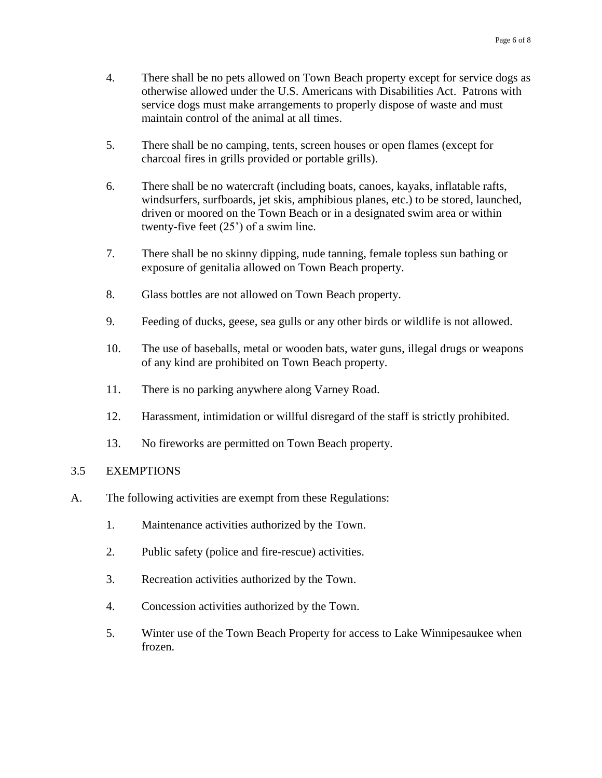- 4. There shall be no pets allowed on Town Beach property except for service dogs as otherwise allowed under the U.S. Americans with Disabilities Act. Patrons with service dogs must make arrangements to properly dispose of waste and must maintain control of the animal at all times.
- 5. There shall be no camping, tents, screen houses or open flames (except for charcoal fires in grills provided or portable grills).
- 6. There shall be no watercraft (including boats, canoes, kayaks, inflatable rafts, windsurfers, surfboards, jet skis, amphibious planes, etc.) to be stored, launched, driven or moored on the Town Beach or in a designated swim area or within twenty-five feet (25') of a swim line.
- 7. There shall be no skinny dipping, nude tanning, female topless sun bathing or exposure of genitalia allowed on Town Beach property.
- 8. Glass bottles are not allowed on Town Beach property.
- 9. Feeding of ducks, geese, sea gulls or any other birds or wildlife is not allowed.
- 10. The use of baseballs, metal or wooden bats, water guns, illegal drugs or weapons of any kind are prohibited on Town Beach property.
- 11. There is no parking anywhere along Varney Road.
- 12. Harassment, intimidation or willful disregard of the staff is strictly prohibited.
- 13. No fireworks are permitted on Town Beach property.

#### 3.5 EXEMPTIONS

- A. The following activities are exempt from these Regulations:
	- 1. Maintenance activities authorized by the Town.
	- 2. Public safety (police and fire-rescue) activities.
	- 3. Recreation activities authorized by the Town.
	- 4. Concession activities authorized by the Town.
	- 5. Winter use of the Town Beach Property for access to Lake Winnipesaukee when frozen.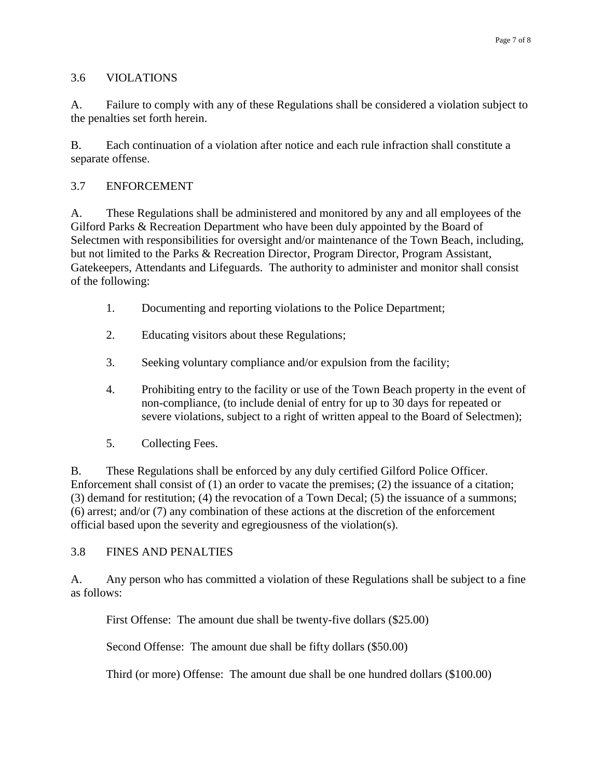### 3.6 VIOLATIONS

A. Failure to comply with any of these Regulations shall be considered a violation subject to the penalties set forth herein.

B. Each continuation of a violation after notice and each rule infraction shall constitute a separate offense.

## 3.7 ENFORCEMENT

A. These Regulations shall be administered and monitored by any and all employees of the Gilford Parks & Recreation Department who have been duly appointed by the Board of Selectmen with responsibilities for oversight and/or maintenance of the Town Beach, including, but not limited to the Parks & Recreation Director, Program Director, Program Assistant, Gatekeepers, Attendants and Lifeguards. The authority to administer and monitor shall consist of the following:

- 1. Documenting and reporting violations to the Police Department;
- 2. Educating visitors about these Regulations;
- 3. Seeking voluntary compliance and/or expulsion from the facility;
- 4. Prohibiting entry to the facility or use of the Town Beach property in the event of non-compliance, (to include denial of entry for up to 30 days for repeated or severe violations, subject to a right of written appeal to the Board of Selectmen);
- 5. Collecting Fees.

B. These Regulations shall be enforced by any duly certified Gilford Police Officer. Enforcement shall consist of (1) an order to vacate the premises; (2) the issuance of a citation; (3) demand for restitution; (4) the revocation of a Town Decal; (5) the issuance of a summons; (6) arrest; and/or (7) any combination of these actions at the discretion of the enforcement official based upon the severity and egregiousness of the violation(s).

## 3.8 FINES AND PENALTIES

A. Any person who has committed a violation of these Regulations shall be subject to a fine as follows:

First Offense: The amount due shall be twenty-five dollars (\$25.00)

Second Offense: The amount due shall be fifty dollars (\$50.00)

Third (or more) Offense: The amount due shall be one hundred dollars (\$100.00)